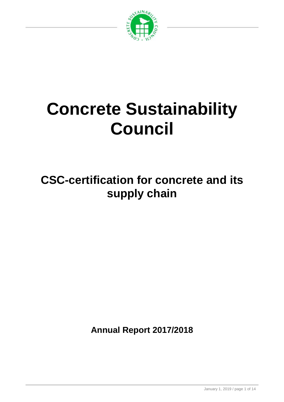

# **Concrete Sustainability Council**

**CSC-certification for concrete and its supply chain** 

**Annual Report 2017/2018**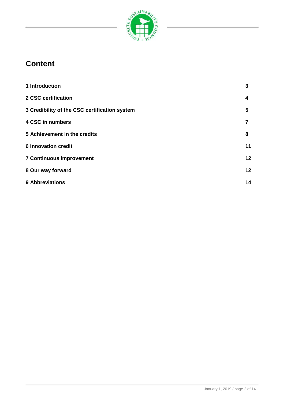

## **Content**

| 1 Introduction                                | 3  |
|-----------------------------------------------|----|
| 2 CSC certification                           | 4  |
| 3 Credibility of the CSC certification system | 5  |
| 4 CSC in numbers                              | 7  |
| 5 Achievement in the credits                  | 8  |
| <b>6 Innovation credit</b>                    | 11 |
| <b>7 Continuous improvement</b>               | 12 |
| 8 Our way forward                             | 12 |
| <b>9 Abbreviations</b>                        | 14 |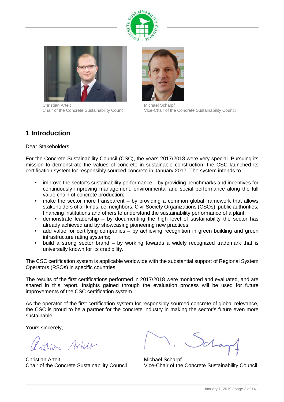



Christian Artelt **Michael Scharpf** 



Chair of the Concrete Sustainability Council Vice-Chair of the Concrete Sustainability Council

## **1 Introduction**

Dear Stakeholders,

For the Concrete Sustainability Council (CSC), the years 2017/2018 were very special. Pursuing its mission to demonstrate the values of concrete in sustainable construction, the CSC launched its certification system for responsibly sourced concrete in January 2017. The system intends to

- improve the sector's sustainability performance by providing benchmarks and incentives for continuously improving management, environmental and social performance along the full value chain of concrete production;
- make the sector more transparent by providing a common global framework that allows stakeholders of all kinds, i.e. neighbors, Civil Society Organizations (CSOs), public authorities, financing institutions and others to understand the sustainability performance of a plant;
- demonstrate leadership by documenting the high level of sustainability the sector has already achieved and by showcasing pioneering new practices;
- add value for certifying companies by achieving recognition in green building and green infrastructure rating systems;
- build a strong sector brand by working towards a widely recognized trademark that is universally known for its credibility.

The CSC certification system is applicable worldwide with the substantial support of Regional System Operators (RSOs) in specific countries.

The results of the first certifications performed in 2017/2018 were monitored and evaluated, and are shared in this report. Insights gained through the evaluation process will be used for future improvements of the CSC certification system.

As the operator of the first certification system for responsibly sourced concrete of global relevance, the CSC is proud to be a partner for the concrete industry in making the sector's future even more sustainable.

Yours sincerely,

Chorian Artur

Christian Artelt **Michael Scharpf** 

char

Chair of the Concrete Sustainability Council Vice-Chair of the Concrete Sustainability Council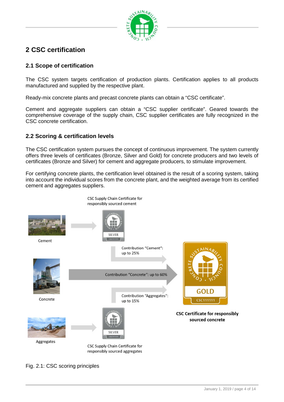

## **2 CSC certification**

## **2.1 Scope of certification**

The CSC system targets certification of production plants. Certification applies to all products manufactured and supplied by the respective plant.

Ready-mix concrete plants and precast concrete plants can obtain a "CSC certificate".

Cement and aggregate suppliers can obtain a "CSC supplier certificate". Geared towards the comprehensive coverage of the supply chain, CSC supplier certificates are fully recognized in the CSC concrete certification.

## **2.2 Scoring & certification levels**

The CSC certification system pursues the concept of continuous improvement. The system currently offers three levels of certificates (Bronze, Silver and Gold) for concrete producers and two levels of certificates (Bronze and Silver) for cement and aggregate producers, to stimulate improvement.

For certifying concrete plants, the certification level obtained is the result of a scoring system, taking into account the individual scores from the concrete plant, and the weighted average from its certified cement and aggregates suppliers.



Fig. 2.1: CSC scoring principles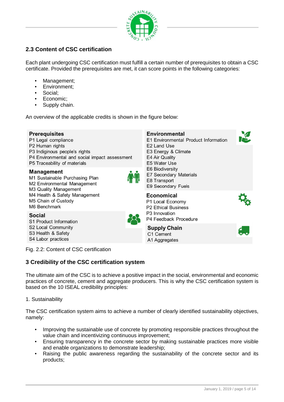

## **2.3 Content of CSC certification**

Each plant undergoing CSC certification must fulfill a certain number of prerequisites to obtain a CSC certificate. Provided the prerequisites are met, it can score points in the following categories:

- Management;
- Environment;
- Social:
- Economic:
- Supply chain.

An overview of the applicable credits is shown in the figure below:

| <b>Prerequisites</b><br>P1 Legal compliance<br>P2 Human rights<br>P3 Indiginous people's rights<br>P4 Environmental and social impact assessment<br>P5 Traceability of materials<br><b>Management</b><br>M1 Sustainable Purchasing Plan<br>M2 Environmental Management<br>M3 Quality Management | <b>Environmental</b><br>E1 Environmental Product Information<br>E <sub>2</sub> Land Use<br>E3 Energy & Climate<br>E4 Air Quality<br>E5 Water Use<br>E6 Biodiversity<br>E7 Secondary Materials<br>E8 Transport<br>E9 Secondary Fuels |  |
|-------------------------------------------------------------------------------------------------------------------------------------------------------------------------------------------------------------------------------------------------------------------------------------------------|-------------------------------------------------------------------------------------------------------------------------------------------------------------------------------------------------------------------------------------|--|
| M4 Health & Safety Management<br>M5 Chain of Custody<br>M6 Benchmark                                                                                                                                                                                                                            | <b>Economical</b><br>P1 Local Economy<br><b>P2 Ethical Business</b>                                                                                                                                                                 |  |
| <b>Social</b><br>S1 Product Information                                                                                                                                                                                                                                                         | P <sub>3</sub> Innovation<br>P4 Feedback Procedure                                                                                                                                                                                  |  |
| S2 Local Community<br>S3 Health & Safety<br>S4 Labor practices                                                                                                                                                                                                                                  | <b>Supply Chain</b><br>C1 Cement<br>A1 Aggregates                                                                                                                                                                                   |  |

Fig. 2.2: Content of CSC certification

## **3 Credibility of the CSC certification system**

The ultimate aim of the CSC is to achieve a positive impact in the social, environmental and economic practices of concrete, cement and aggregate producers. This is why the CSC certification system is based on the 10 ISEAL credibility principles:

#### 1. Sustainability

The CSC certification system aims to achieve a number of clearly identified sustainability objectives, namely:

- Improving the sustainable use of concrete by promoting responsible practices throughout the value chain and incentivizing continuous improvement;
- Ensuring transparency in the concrete sector by making sustainable practices more visible and enable organizations to demonstrate leadership;
- Raising the public awareness regarding the sustainability of the concrete sector and its products;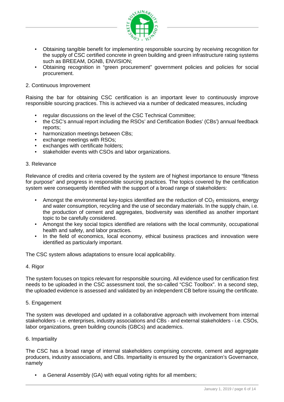

- Obtaining tangible benefit for implementing responsible sourcing by receiving recognition for the supply of CSC certified concrete in green building and green infrastructure rating systems such as BREEAM, DGNB, ENVISION;
- Obtaining recognition in "green procurement" government policies and policies for social procurement.

#### 2. Continuous Improvement

Raising the bar for obtaining CSC certification is an important lever to continuously improve responsible sourcing practices. This is achieved via a number of dedicated measures, including

- regular discussions on the level of the CSC Technical Committee;
- the CSC's annual report including the RSOs' and Certification Bodies' (CBs') annual feedback reports;
- harmonization meetings between CBs:
- exchange meetings with RSOs:
- exchanges with certificate holders;
- stakeholder events with CSOs and labor organizations.

#### 3. Relevance

Relevance of credits and criteria covered by the system are of highest importance to ensure "fitness for purpose" and progress in responsible sourcing practices. The topics covered by the certification system were consequently identified with the support of a broad range of stakeholders:

- Amongst the environmental key-topics identified are the reduction of  $CO<sub>2</sub>$  emissions, energy and water consumption, recycling and the use of secondary materials. In the supply chain, i.e. the production of cement and aggregates, biodiversity was identified as another important topic to be carefully considered.
- Amongst the key social topics identified are relations with the local community, occupational health and safety, and labor practices.
- In the field of economics, local economy, ethical business practices and innovation were identified as particularly important.

The CSC system allows adaptations to ensure local applicability.

#### 4. Rigor

The system focuses on topics relevant for responsible sourcing. All evidence used for certification first needs to be uploaded in the CSC assessment tool, the so-called "CSC Toolbox". In a second step, the uploaded evidence is assessed and validated by an independent CB before issuing the certificate.

#### 5. Engagement

The system was developed and updated in a collaborative approach with involvement from internal stakeholders - i.e. enterprises, industry associations and CBs - and external stakeholders - i.e. CSOs, labor organizations, green building councils (GBCs) and academics.

#### 6. Impartiality

The CSC has a broad range of internal stakeholders comprising concrete, cement and aggregate producers, industry associations, and CBs. Impartiality is ensured by the organization's Governance, namely

• a General Assembly (GA) with equal voting rights for all members: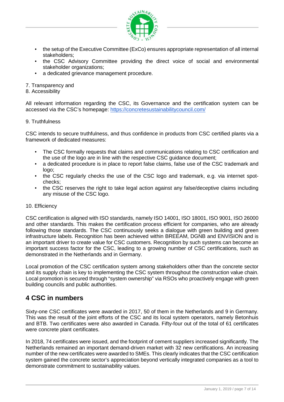

- the setup of the Executive Committee (ExCo) ensures appropriate representation of all internal stakeholders;
- the CSC Advisory Committee providing the direct voice of social and environmental stakeholder organizations;
- a dedicated grievance management procedure.
- 7. Transparency and

#### 8. Accessibility

All relevant information regarding the CSC, its Governance and the certification system can be accessed via the CSC's homepage: https://concretesustainabilitycouncil.com/

#### 9. Truthfulness

CSC intends to secure truthfulness, and thus confidence in products from CSC certified plants via a framework of dedicated measures:

- The CSC formally requests that claims and communications relating to CSC certification and the use of the logo are in line with the respective CSC guidance document;
- a dedicated procedure is in place to report false claims, false use of the CSC trademark and logo;
- the CSC regularly checks the use of the CSC logo and trademark, e.g. via internet spotchecks;
- the CSC reserves the right to take legal action against any false/deceptive claims including any misuse of the CSC logo.

#### 10. Efficiency

CSC certification is aligned with ISO standards, namely ISO 14001, ISO 18001, ISO 9001, ISO 26000 and other standards. This makes the certification process efficient for companies, who are already following those standards. The CSC continuously seeks a dialogue with green building and green infrastructure labels. Recognition has been achieved within BREEAM, DGNB and ENVISION and is an important driver to create value for CSC customers. Recognition by such systems can become an important success factor for the CSC, leading to a growing number of CSC certifications, such as demonstrated in the Netherlands and in Germany.

Local promotion of the CSC certification system among stakeholders other than the concrete sector and its supply chain is key to implementing the CSC system throughout the construction value chain. Local promotion is secured through "system ownership" via RSOs who proactively engage with green building councils and public authorities.

## **4 CSC in numbers**

Sixty-one CSC certificates were awarded in 2017, 50 of them in the Netherlands and 9 in Germany. This was the result of the joint efforts of the CSC and its local system operators, namely Betonhuis and BTB. Two certificates were also awarded in Canada. Fifty-four out of the total of 61 certificates were concrete plant certificates.

In 2018, 74 certificates were issued, and the footprint of cement suppliers increased significantly. The Netherlands remained an important demand-driven market with 32 new certifications. An increasing number of the new certificates were awarded to SMEs. This clearly indicates that the CSC certification system gained the concrete sector's appreciation beyond vertically integrated companies as a tool to demonstrate commitment to sustainability values.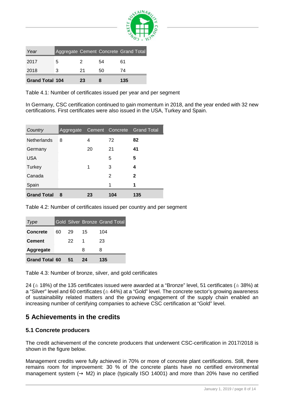

| Year                   |   |    |    | Aggregate Cement Concrete Grand Total |
|------------------------|---|----|----|---------------------------------------|
| 2017                   | 5 |    | 54 | 61                                    |
| 2018                   | 3 | 21 | 50 | 74                                    |
| <b>Grand Total 104</b> |   | 23 |    | 135                                   |

Table 4.1: Number of certificates issued per year and per segment

In Germany, CSC certification continued to gain momentum in 2018, and the year ended with 32 new certifications. First certificates were also issued in the USA, Turkey and Spain.

| Country            | Aggregate |    | Cement Concrete | <b>Grand Total</b> |
|--------------------|-----------|----|-----------------|--------------------|
| <b>Netherlands</b> | 8         | 4  | 72              | 82                 |
| Germany            |           | 20 | 21              | 41                 |
| <b>USA</b>         |           |    | 5               | 5                  |
| Turkey             |           | 1  | 3               | 4                  |
| Canada             |           |    | 2               | 2                  |
| Spain              |           |    | 1               | 1                  |
| <b>Grand Total</b> | 8         | 23 | 104             | 135                |

Table 4.2: Number of certificates issued per country and per segment

| Type                  |    |     |    | Gold Silver Bronze Grand Total |
|-----------------------|----|-----|----|--------------------------------|
| <b>Concrete</b>       | 60 | 29  | 15 | 104                            |
| <b>Cement</b>         |    | 22. | 1  | 23                             |
| Aggregate             |    |     | 8  | 8                              |
| <b>Grand Total 60</b> |    | 51  | 24 | 135                            |

Table 4.3: Number of bronze, silver, and gold certificates

24 (≙ 18%) of the 135 certificates issued were awarded at a "Bronze" level, 51 certificates (≙ 38%) at a "Silver" level and 60 certificates (≙ 44%) at a "Gold" level. The concrete sector's growing awareness of sustainability related matters and the growing engagement of the supply chain enabled an increasing number of certifying companies to achieve CSC certification at "Gold" level.

## **5 Achievements in the credits**

## **5.1 Concrete producers**

The credit achievement of the concrete producers that underwent CSC-certification in 2017/2018 is shown in the figure below.

Management credits were fully achieved in 70% or more of concrete plant certifications. Still, there remains room for improvement: 30 % of the concrete plants have no certified environmental management system ( $\rightarrow$  M2) in place (typically ISO 14001) and more than 20% have no certified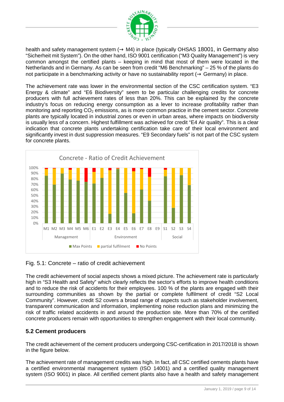

health and safety management system  $(\rightarrow$  M4) in place (typically OHSAS 18001, in Germany also "Sicherheit mit System"). On the other hand, ISO 9001 certification ("M3 Quality Management") is very common amongst the certified plants – keeping in mind that most of them were located in the Netherlands and in Germany. As can be seen from credit "M6 Benchmarking" – 25 % of the plants do not participate in a benchmarking activity or have no sustainability report ( $\rightarrow$  Germany) in place.

The achievement rate was lower in the environmental section of the CSC certification system. "E3 Energy & climate" and "E6 Biodiversity" seem to be particular challenging credits for concrete producers with full achievement rates of less than 20%. This can be explained by the concrete industry's focus on reducing energy consumption as a lever to increase profitability rather than monitoring and reporting  $CO<sub>2</sub>$  emissions, as is more common practice in the cement sector. Concrete plants are typically located in industrial zones or even in urban areas, where impacts on biodiversity is usually less of a concern. Highest fulfillment was achieved for credit "E4 Air quality". This is a clear indication that concrete plants undertaking certification take care of their local environment and significantly invest in dust suppression measures. "E9 Secondary fuels" is not part of the CSC system for concrete plants.



Fig. 5.1: Concrete – ratio of credit achievement

The credit achievement of social aspects shows a mixed picture. The achievement rate is particularly high in "S3 Health and Safety" which clearly reflects the sector's efforts to improve health conditions and to reduce the risk of accidents for their employees. 100 % of the plants are engaged with their surrounding communities as shown by the partial or complete fulfilment of credit "S2 Local Community". However, credit S2 covers a broad range of aspects such as stakeholder involvement, transparent communication and information, implementing noise reduction plans and minimizing the risk of traffic related accidents in and around the production site. More than 70% of the certified concrete producers remain with opportunities to strengthen engagement with their local community.

## **5.2 Cement producers**

The credit achievement of the cement producers undergoing CSC-certification in 2017/2018 is shown in the figure below.

The achievement rate of management credits was high. In fact, all CSC certified cements plants have a certified environmental management system (ISO 14001) and a certified quality management system (ISO 9001) in place. All certified cement plants also have a health and safety management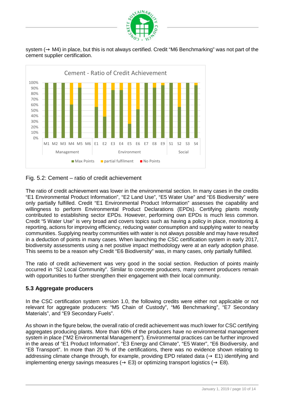

system ( $\rightarrow$  M4) in place, but this is not always certified. Credit "M6 Benchmarking" was not part of the cement supplier certification.



## Fig. 5.2: Cement – ratio of credit achievement

The ratio of credit achievement was lower in the environmental section. In many cases in the credits "E1 Environmental Product Information", "E2 Land Use", "E5 Water Use" and "E6 Biodiversity" were only partially fulfilled. Credit "E1 Environmental Product Information" assesses the capability and willingness to perform Environmental Product Declarations (EPDs). Certifying plants mostly contributed to establishing sector EPDs. However, performing own EPDs is much less common. Credit "5 Water Use" is very broad and covers topics such as having a policy in place, monitoring & reporting, actions for improving efficiency, reducing water consumption and supplying water to nearby communities. Supplying nearby communities with water is not always possible and may have resulted in a deduction of points in many cases. When launching the CSC certification system in early 2017, biodiversity assessments using a net positive impact methodology were at an early adoption phase. This seems to be a reason why Credit "E6 Biodiversity" was, in many cases, only partially fulfilled.

The ratio of credit achievement was very good in the social section. Reduction of points mainly occurred in "S2 Local Community". Similar to concrete producers, many cement producers remain with opportunities to further strengthen their engagement with their local community.

## **5.3 Aggregate producers**

In the CSC certification system version 1.0, the following credits were either not applicable or not relevant for aggregate producers: "M5 Chain of Custody", "M6 Benchmarking", "E7 Secondary Materials", and "E9 Secondary Fuels".

As shown in the figure below, the overall ratio of credit achievement was much lower for CSC certifying aggregates producing plants. More than 60% of the producers have no environmental management system in place ("M2 Environmental Management"). Environmental practices can be further improved in the areas of "E1 Product Information", "E3 Energy and Climate", "E5 Water", "E6 Biodiversity, and "E8 Transport". In more than 20 % of the certifications, there was no evidence shown relating to addressing climate change through, for example, providing EPD related data ( $\rightarrow$  E1) identifying and implementing energy savings measures ( $\rightarrow$  E3) or optimizing transport logistics ( $\rightarrow$  E8).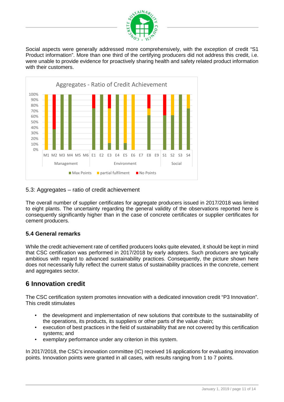

Social aspects were generally addressed more comprehensively, with the exception of credit "S1 Product information". More than one third of the certifying producers did not address this credit, i.e. were unable to provide evidence for proactively sharing health and safety related product information with their customers.



## 5.3: Aggregates – ratio of credit achievement

The overall number of supplier certificates for aggregate producers issued in 2017/2018 was limited to eight plants. The uncertainty regarding the general validity of the observations reported here is consequently significantly higher than in the case of concrete certificates or supplier certificates for cement producers.

## **5.4 General remarks**

While the credit achievement rate of certified producers looks quite elevated, it should be kept in mind that CSC certification was performed in 2017/2018 by early adopters. Such producers are typically ambitious with regard to advanced sustainability practices. Consequently, the picture shown here does not necessarily fully reflect the current status of sustainability practices in the concrete, cement and aggregates sector.

## **6 Innovation credit**

The CSC certification system promotes innovation with a dedicated innovation credit "P3 Innovation". This credit stimulates

- the development and implementation of new solutions that contribute to the sustainability of the operations, its products, its suppliers or other parts of the value chain;
- execution of best practices in the field of sustainability that are not covered by this certification systems; and
- exemplary performance under any criterion in this system.

In 2017/2018, the CSC's innovation committee (IC) received 16 applications for evaluating innovation points. Innovation points were granted in all cases, with results ranging from 1 to 7 points.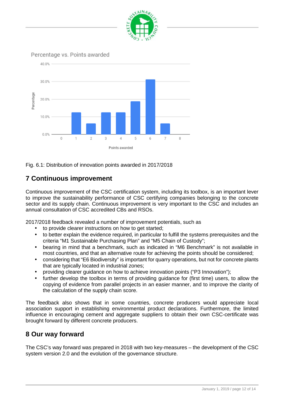



Fig. 6.1: Distribution of innovation points awarded in 2017/2018

## **7 Continuous improvement**

Continuous improvement of the CSC certification system, including its toolbox, is an important lever to improve the sustainability performance of CSC certifying companies belonging to the concrete sector and its supply chain. Continuous improvement is very important to the CSC and includes an annual consultation of CSC accredited CBs and RSOs.

2017/2018 feedback revealed a number of improvement potentials, such as

- to provide clearer instructions on how to get started;
- to better explain the evidence required, in particular to fulfill the systems prerequisites and the criteria "M1 Sustainable Purchasing Plan" and "M5 Chain of Custody";
- bearing in mind that a benchmark, such as indicated in "M6 Benchmark" is not available in most countries, and that an alternative route for achieving the points should be considered;
- considering that "E6 Biodiversity" is important for quarry operations, but not for concrete plants that are typically located in industrial zones;
- providing clearer guidance on how to achieve innovation points ("P3 Innovation");
- further develop the toolbox in terms of providing guidance for (first time) users, to allow the copying of evidence from parallel projects in an easier manner, and to improve the clarity of the calculation of the supply chain score.

The feedback also shows that in some countries, concrete producers would appreciate local association support in establishing environmental product declarations. Furthermore, the limited influence in encouraging cement and aggregate suppliers to obtain their own CSC-certificate was brought forward by different concrete producers.

## **8 Our way forward**

The CSC's way forward was prepared in 2018 with two key-measures – the development of the CSC system version 2.0 and the evolution of the governance structure.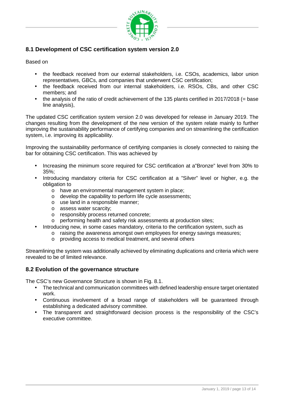

## **8.1 Development of CSC certification system version 2.0**

Based on

- the feedback received from our external stakeholders, i.e. CSOs, academics, labor union representatives, GBCs, and companies that underwent CSC certification;
- the feedback received from our internal stakeholders, i.e. RSOs, CBs, and other CSC members; and
- $\bullet$  the analysis of the ratio of credit achievement of the 135 plants certified in 2017/2018 (= base line analysis),

The updated CSC certification system version 2.0 was developed for release in January 2019. The changes resulting from the development of the new version of the system relate mainly to further improving the sustainability performance of certifying companies and on streamlining the certification system, i.e. improving its applicability.

Improving the sustainability performance of certifying companies is closely connected to raising the bar for obtaining CSC certification. This was achieved by

- Increasing the minimum score required for CSC certification at a"Bronze" level from 30% to 35%;
- Introducing mandatory criteria for CSC certification at a "Silver" level or higher, e.g. the obligation to
	- o have an environmental management system in place;
	- o develop the capability to perform life cycle assessments;
	- o use land in a responsible manner;
	- o assess water scarcity;
	- o responsibly process returned concrete;
	- o performing health and safety risk assessments at production sites;
- Introducing new, in some cases mandatory, criteria to the certification system, such as
	- o raising the awareness amongst own employees for energy savings measures;
	- o providing access to medical treatment, and several others

Streamlining the system was additionally achieved by eliminating duplications and criteria which were revealed to be of limited relevance.

#### **8.2 Evolution of the governance structure**

The CSC's new Governance Structure is shown in Fig. 8.1.

- The technical and communication committees with defined leadership ensure target orientated work.
- Continuous involvement of a broad range of stakeholders will be guaranteed through establishing a dedicated advisory committee.
- The transparent and straightforward decision process is the responsibility of the CSC's executive committee.